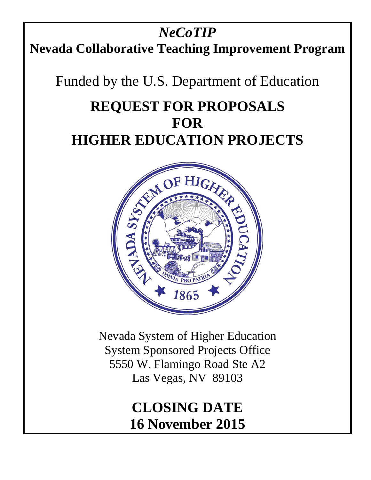# *NeCoTIP* **Nevada Collaborative Teaching Improvement Program**

Funded by the U.S. Department of Education

# **REQUEST FOR PROPOSALS FOR HIGHER EDUCATION PROJECTS**



Nevada System of Higher Education System Sponsored Projects Office 5550 W. Flamingo Road Ste A2 Las Vegas, NV 89103

> **CLOSING DATE 16 November 2015**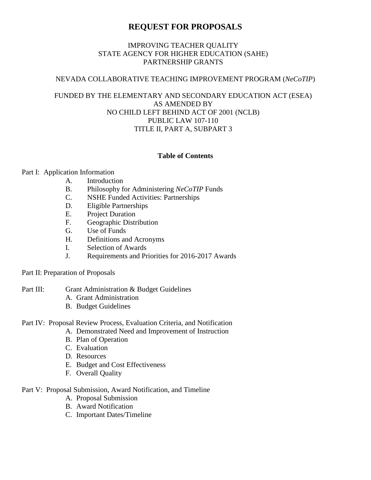# **REQUEST FOR PROPOSALS**

#### IMPROVING TEACHER QUALITY STATE AGENCY FOR HIGHER EDUCATION (SAHE) PARTNERSHIP GRANTS

#### NEVADA COLLABORATIVE TEACHING IMPROVEMENT PROGRAM (*NeCoTIP*)

#### FUNDED BY THE ELEMENTARY AND SECONDARY EDUCATION ACT (ESEA) AS AMENDED BY NO CHILD LEFT BEHIND ACT OF 2001 (NCLB) PUBLIC LAW 107-110 TITLE II, PART A, SUBPART 3

#### **Table of Contents**

#### Part I: Application Information

- A. Introduction
- B. Philosophy for Administering *NeCoTIP* Funds
- C. NSHE Funded Activities: Partnerships
- D. Eligible Partnerships
- E. Project Duration
- F. Geographic Distribution
- G. Use of Funds
- H. Definitions and Acronyms
- I. Selection of Awards
- J. Requirements and Priorities for 2016-2017 Awards

#### Part II: Preparation of Proposals

#### Part III: Grant Administration & Budget Guidelines

- A. Grant Administration
- B. Budget Guidelines

#### Part IV: Proposal Review Process, Evaluation Criteria, and Notification

- A. Demonstrated Need and Improvement of Instruction
- B. Plan of Operation
- C. Evaluation
- D. Resources
- E. Budget and Cost Effectiveness
- F. Overall Quality

#### Part V: Proposal Submission, Award Notification, and Timeline

- A. Proposal Submission
- B. Award Notification
- C. Important Dates/Timeline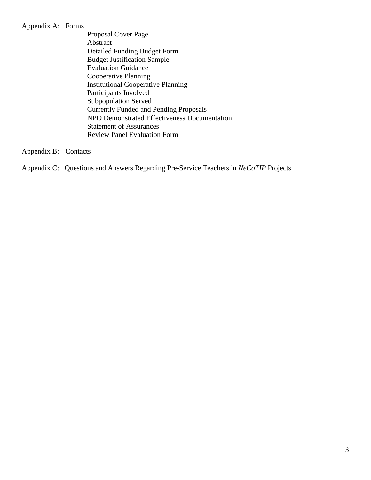#### Appendix A: Forms

Proposal Cover Page Abstract Detailed Funding Budget Form Budget Justification Sample Evaluation Guidance Cooperative Planning Institutional Cooperative Planning Participants Involved Subpopulation Served Currently Funded and Pending Proposals NPO Demonstrated Effectiveness Documentation Statement of Assurances Review Panel Evaluation Form

Appendix B: Contacts

Appendix C: Questions and Answers Regarding Pre-Service Teachers in *NeCoTIP* Projects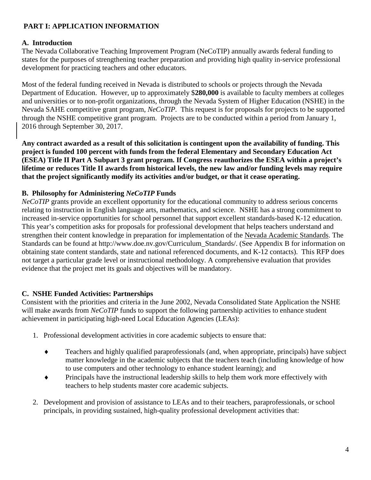# **PART I: APPLICATION INFORMATION**

### **A. Introduction**

The Nevada Collaborative Teaching Improvement Program (NeCoTIP) annually awards federal funding to states for the purposes of strengthening teacher preparation and providing high quality in-service professional development for practicing teachers and other educators.

Most of the federal funding received in Nevada is distributed to schools or projects through the Nevada Department of Education. However, up to approximately \$**280,000** is available to faculty members at colleges and universities or to non-profit organizations, through the Nevada System of Higher Education (NSHE) in the Nevada SAHE competitive grant program, *NeCoTIP*. This request is for proposals for projects to be supported through the NSHE competitive grant program. Projects are to be conducted within a period from January 1, 2016 through September 30, 2017.

**Any contract awarded as a result of this solicitation is contingent upon the availability of funding. This project is funded 100 percent with funds from the federal Elementary and Secondary Education Act (ESEA) Title II Part A Subpart 3 grant program. If Congress reauthorizes the ESEA within a project's lifetime or reduces Title II awards from historical levels, the new law and/or funding levels may require that the project significantly modify its activities and/or budget, or that it cease operating.**

#### **B. Philosophy for Administering** *NeCoTIP* **Funds**

*NeCoTIP* grants provide an excellent opportunity for the educational community to address serious concerns relating to instruction in English language arts, mathematics, and science. NSHE has a strong commitment to increased in-service opportunities for school personnel that support excellent standards-based K-12 education. This year's competition asks for proposals for professional development that helps teachers understand and strengthen their content knowledge in preparation for implementation of the Nevada Academic Standards. The Standards can be found at http://www.doe.nv.gov/Curriculum\_Standards/. (See Appendix B for information on obtaining state content standards, state and national referenced documents, and K-12 contacts). This RFP does not target a particular grade level or instructional methodology. A comprehensive evaluation that provides evidence that the project met its goals and objectives will be mandatory.

# **C. NSHE Funded Activities: Partnerships**

Consistent with the priorities and criteria in the June 2002, Nevada Consolidated State Application the NSHE will make awards from *NeCoTIP* funds to support the following partnership activities to enhance student achievement in participating high-need Local Education Agencies (LEAs):

- 1. Professional development activities in core academic subjects to ensure that:
	- ♦ Teachers and highly qualified paraprofessionals (and, when appropriate, principals) have subject matter knowledge in the academic subjects that the teachers teach (including knowledge of how to use computers and other technology to enhance student learning); and
	- ♦ Principals have the instructional leadership skills to help them work more effectively with teachers to help students master core academic subjects.
- 2. Development and provision of assistance to LEAs and to their teachers, paraprofessionals, or school principals, in providing sustained, high-quality professional development activities that: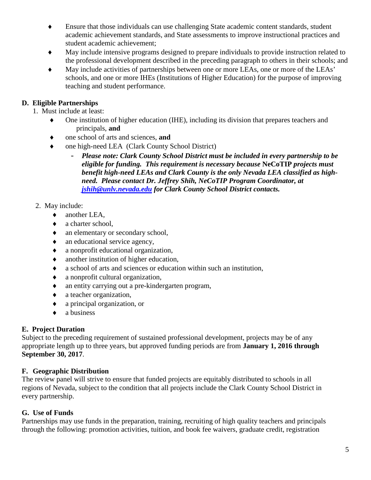- ♦ Ensure that those individuals can use challenging State academic content standards, student academic achievement standards, and State assessments to improve instructional practices and student academic achievement;
- May include intensive programs designed to prepare individuals to provide instruction related to the professional development described in the preceding paragraph to others in their schools; and
- May include activities of partnerships between one or more LEAs, one or more of the LEAs' schools, and one or more IHEs (Institutions of Higher Education) for the purpose of improving teaching and student performance.

# **D. Eligible Partnerships**

1. Must include at least:

- One institution of higher education (IHE), including its division that prepares teachers and principals, **and**
- one school of arts and sciences, and
- one high-need LEA (Clark County School District)
	- *Please note: Clark County School District must be included in every partnership to be eligible for funding. This requirement is necessary because* **NeCoTIP** *projects must benefit high-need LEAs and Clark County is the only Nevada LEA classified as highneed. Please contact Dr. Jeffrey Shih, NeCoTIP Program Coordinator, at [jshih@unlv.nevada.edu](mailto:jshih@unlv.nevada.edu) for Clark County School District contacts.*
- 2. May include:
	- ♦ another LEA,
	- ♦ a charter school,
	- an elementary or secondary school,
	- an educational service agency,
	- ♦ a nonprofit educational organization,
	- ♦ another institution of higher education,
	- ♦ a school of arts and sciences or education within such an institution,
	- ♦ a nonprofit cultural organization,
	- ♦ an entity carrying out a pre-kindergarten program,
	- ♦ a teacher organization,
	- ♦ a principal organization, or
	- ♦ a business

# **E. Project Duration**

Subject to the preceding requirement of sustained professional development, projects may be of any appropriate length up to three years, but approved funding periods are from **January 1, 2016 through September 30, 2017**.

# **F. Geographic Distribution**

The review panel will strive to ensure that funded projects are equitably distributed to schools in all regions of Nevada, subject to the condition that all projects include the Clark County School District in every partnership.

# **G. Use of Funds**

Partnerships may use funds in the preparation, training, recruiting of high quality teachers and principals through the following: promotion activities, tuition, and book fee waivers, graduate credit, registration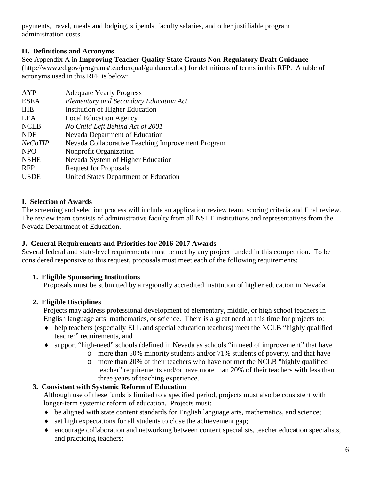payments, travel, meals and lodging, stipends, faculty salaries, and other justifiable program administration costs.

# **H. Definitions and Acronyms**

See Appendix A in **Improving Teacher Quality State Grants Non-Regulatory Draft Guidance**  [\(http://www.ed.gov/programs/teacherqual/guidance.doc\)](http://www.ed.gov/programs/teacherqual/guidance.doc) for definitions of terms in this RFP. A table of acronyms used in this RFP is below:

| <b>Adequate Yearly Progress</b>                   |
|---------------------------------------------------|
| <b>Elementary and Secondary Education Act</b>     |
| Institution of Higher Education                   |
| <b>Local Education Agency</b>                     |
| No Child Left Behind Act of 2001                  |
| Nevada Department of Education                    |
| Nevada Collaborative Teaching Improvement Program |
| Nonprofit Organization                            |
| Nevada System of Higher Education                 |
| <b>Request for Proposals</b>                      |
| United States Department of Education             |
|                                                   |

#### **I. Selection of Awards**

The screening and selection process will include an application review team, scoring criteria and final review. The review team consists of administrative faculty from all NSHE institutions and representatives from the Nevada Department of Education.

#### **J. General Requirements and Priorities for 2016-2017 Awards**

Several federal and state-level requirements must be met by any project funded in this competition. To be considered responsive to this request, proposals must meet each of the following requirements:

# **1. Eligible Sponsoring Institutions**

Proposals must be submitted by a regionally accredited institution of higher education in Nevada.

# **2. Eligible Disciplines**

Projects may address professional development of elementary, middle, or high school teachers in English language arts, mathematics, or science. There is a great need at this time for projects to:

- ♦ help teachers (especially ELL and special education teachers) meet the NCLB "highly qualified teacher" requirements, and
- ♦ support "high-need" schools (defined in Nevada as schools "in need of improvement" that have
	- o more than 50% minority students and/or 71% students of poverty, and that have
	- o more than 20% of their teachers who have not met the NCLB "highly qualified teacher" requirements and/or have more than 20% of their teachers with less than three years of teaching experience.

# **3. Consistent with Systemic Reform of Education**

Although use of these funds is limited to a specified period, projects must also be consistent with longer-term systemic reform of education. Projects must:

- ♦ be aligned with state content standards for English language arts, mathematics, and science;
- ♦ set high expectations for all students to close the achievement gap;
- ♦ encourage collaboration and networking between content specialists, teacher education specialists, and practicing teachers;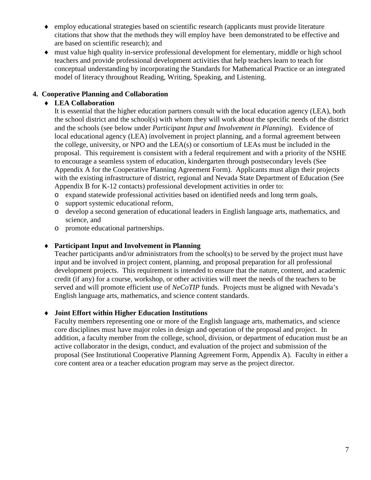- ♦ employ educational strategies based on scientific research (applicants must provide literature citations that show that the methods they will employ have been demonstrated to be effective and are based on scientific research); and
- ♦ must value high quality in-service professional development for elementary, middle or high school teachers and provide professional development activities that help teachers learn to teach for conceptual understanding by incorporating the Standards for Mathematical Practice or an integrated model of literacy throughout Reading, Writing, Speaking, and Listening.

#### **4. Cooperative Planning and Collaboration**

#### ♦ **LEA Collaboration**

It is essential that the higher education partners consult with the local education agency (LEA), both the school district and the school(s) with whom they will work about the specific needs of the district and the schools (see below under *Participant Input and Involvement in Planning*). Evidence of local educational agency (LEA) involvement in project planning, and a formal agreement between the college, university, or NPO and the LEA(s) or consortium of LEAs must be included in the proposal. This requirement is consistent with a federal requirement and with a priority of the NSHE to encourage a seamless system of education, kindergarten through postsecondary levels (See Appendix A for the Cooperative Planning Agreement Form). Applicants must align their projects with the existing infrastructure of district, regional and Nevada State Department of Education (See Appendix B for K-12 contacts) professional development activities in order to:

- o expand statewide professional activities based on identified needs and long term goals,
- o support systemic educational reform,
- o develop a second generation of educational leaders in English language arts, mathematics, and science, and
- o promote educational partnerships.

#### ♦ **Participant Input and Involvement in Planning**

Teacher participants and/or administrators from the school(s) to be served by the project must have input and be involved in project content, planning, and proposal preparation for all professional development projects. This requirement is intended to ensure that the nature, content, and academic credit (if any) for a course, workshop, or other activities will meet the needs of the teachers to be served and will promote efficient use of *NeCoTIP* funds. Projects must be aligned with Nevada's English language arts, mathematics, and science content standards.

#### ♦ **Joint Effort within Higher Education Institutions**

Faculty members representing one or more of the English language arts, mathematics, and science core disciplines must have major roles in design and operation of the proposal and project. In addition, a faculty member from the college, school, division, or department of education must be an active collaborator in the design, conduct, and evaluation of the project and submission of the proposal (See Institutional Cooperative Planning Agreement Form, Appendix A). Faculty in either a core content area or a teacher education program may serve as the project director.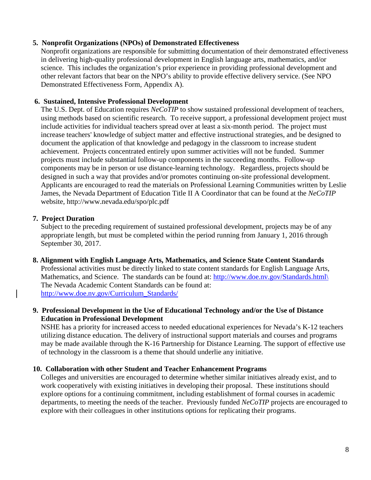#### **5. Nonprofit Organizations (NPOs) of Demonstrated Effectiveness**

Nonprofit organizations are responsible for submitting documentation of their demonstrated effectiveness in delivering high-quality professional development in English language arts, mathematics, and/or science. This includes the organization's prior experience in providing professional development and other relevant factors that bear on the NPO's ability to provide effective delivery service. (See NPO Demonstrated Effectiveness Form, Appendix A).

#### **6. Sustained, Intensive Professional Development**

The U.S. Dept. of Education requires *NeCoTIP* to show sustained professional development of teachers, using methods based on scientific research. To receive support, a professional development project must include activities for individual teachers spread over at least a six-month period. The project must increase teachers' knowledge of subject matter and effective instructional strategies, and be designed to document the application of that knowledge and pedagogy in the classroom to increase student achievement. Projects concentrated entirely upon summer activities will not be funded. Summer projects must include substantial follow-up components in the succeeding months. Follow-up components may be in person or use distance-learning technology. Regardless, projects should be designed in such a way that provides and/or promotes continuing on-site professional development. Applicants are encouraged to read the materials on Professional Learning Communities written by Leslie James, the Nevada Department of Education Title II A Coordinator that can be found at the *NeCoTIP* website, http://www.nevada.edu/spo/plc.pdf

#### **7. Project Duration**

Subject to the preceding requirement of sustained professional development, projects may be of any appropriate length, but must be completed within the period running from January 1, 2016 through September 30, 2017.

**8. Alignment with English Language Arts, Mathematics, and Science State Content Standards** Professional activities must be directly linked to state content standards for English Language Arts, Mathematics, and Science. The standards can be found at: http://www.doe.nv.gov/Standards.html The Nevada Academic Content Standards can be found at: [http://www.doe.nv.gov/Curriculum\\_Standards/](http://www.doe.nv.gov/Curriculum_Standards/)

#### **9. Professional Development in the Use of Educational Technology and/or the Use of Distance Education in Professional Development**

NSHE has a priority for increased access to needed educational experiences for Nevada's K-12 teachers utilizing distance education. The delivery of instructional support materials and courses and programs may be made available through the K-16 Partnership for Distance Learning. The support of effective use of technology in the classroom is a theme that should underlie any initiative.

#### **10. Collaboration with other Student and Teacher Enhancement Programs**

Colleges and universities are encouraged to determine whether similar initiatives already exist, and to work cooperatively with existing initiatives in developing their proposal. These institutions should explore options for a continuing commitment, including establishment of formal courses in academic departments, to meeting the needs of the teacher. Previously funded *NeCoTIP* projects are encouraged to explore with their colleagues in other institutions options for replicating their programs.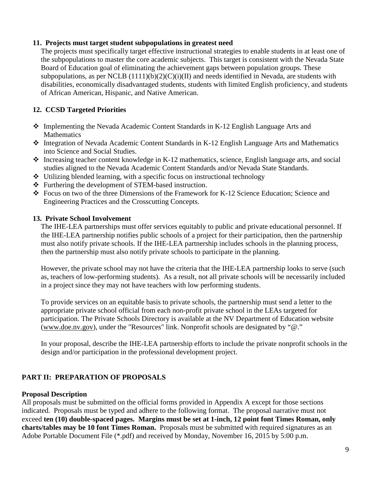#### **11. Projects must target student subpopulations in greatest need**

The projects must specifically target effective instructional strategies to enable students in at least one of the subpopulations to master the core academic subjects. This target is consistent with the Nevada State Board of Education goal of eliminating the achievement gaps between population groups. These subpopulations, as per NCLB  $(1111)(b)(2)(C)(i)(II)$  and needs identified in Nevada, are students with disabilities, economically disadvantaged students, students with limited English proficiency, and students of African American, Hispanic, and Native American.

# **12. CCSD Targeted Priorities**

- Implementing the Nevada Academic Content Standards in K-12 English Language Arts and **Mathematics**
- Integration of Nevada Academic Content Standards in K-12 English Language Arts and Mathematics into Science and Social Studies.
- Increasing teacher content knowledge in K-12 mathematics, science, English language arts, and social studies aligned to the Nevada Academic Content Standards and/or Nevada State Standards.
- Utilizing blended learning, with a specific focus on instructional technology
- Furthering the development of STEM-based instruction.
- \* Focus on two of the three Dimensions of the Framework for K-12 Science Education; Science and Engineering Practices and the Crosscutting Concepts.

#### **13. Private School Involvement**

The IHE-LEA partnerships must offer services equitably to public and private educational personnel. If the IHE-LEA partnership notifies public schools of a project for their participation, then the partnership must also notify private schools. If the IHE-LEA partnership includes schools in the planning process, then the partnership must also notify private schools to participate in the planning.

However, the private school may not have the criteria that the IHE-LEA partnership looks to serve (such as, teachers of low-performing students). As a result, not all private schools will be necessarily included in a project since they may not have teachers with low performing students.

To provide services on an equitable basis to private schools, the partnership must send a letter to the appropriate private school official from each non-profit private school in the LEAs targeted for participation. The Private Schools Directory is available at the NV Department of Education website [\(www.doe.nv.gov\)](http://www.doe.nv.gov/), under the "Resources" link. Nonprofit schools are designated by "@."

In your proposal, describe the IHE-LEA partnership efforts to include the private nonprofit schools in the design and/or participation in the professional development project.

# **PART II: PREPARATION OF PROPOSALS**

#### **Proposal Description**

All proposals must be submitted on the official forms provided in Appendix A except for those sections indicated. Proposals must be typed and adhere to the following format. The proposal narrative must not exceed **ten (10) double-spaced pages. Margins must be set at 1-inch, 12 point font Times Roman, only charts/tables may be 10 font Times Roman.** Proposals must be submitted with required signatures as an Adobe Portable Document File (\*.pdf) and received by Monday, November 16, 2015 by 5:00 p.m.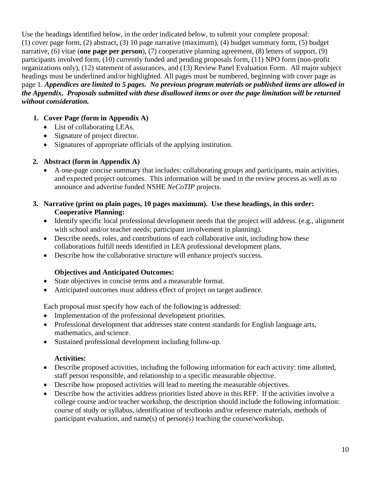Use the headings identified below, in the order indicated below, to submit your complete proposal: (1) cover page form, (2) abstract, (3) 10 page narrative (maximum), (4) budget summary form, (5) budget narrative, (6) vitae (**one page per person**), (7) cooperative planning agreement, (8) letters of support, (9) participants involved form, (10) currently funded and pending proposals form, (11) NPO form (non-profit organizations only), (12) statement of assurances, and (13) Review Panel Evaluation Form. All major subject headings must be underlined and/or highlighted. All pages must be numbered, beginning with cover page as page 1. *Appendices are limited to 5 pages. No previous program materials or published items are allowed in the Appendix. Proposals submitted with these disallowed items or over the page limitation will be returned without consideration.*

# **1. Cover Page (form in Appendix A)**

- List of collaborating LEAs.
- Signature of project director.
- Signatures of appropriate officials of the applying institution.

# **2. Abstract (form in Appendix A)**

- A one-page concise summary that includes: collaborating groups and participants, main activities, and expected project outcomes. This information will be used in the review process as well as to announce and advertise funded NSHE *NeCoTIP* projects.
- **3. Narrative (print on plain pages, 10 pages maximum). Use these headings, in this order: Cooperative Planning:**
	- Identify specific local professional development needs that the project will address. (e.g., alignment with school and/or teacher needs; participant involvement in planning).
	- Describe needs, roles, and contributions of each collaborative unit, including how these collaborations fulfill needs identified in LEA professional development plans.
	- Describe how the collaborative structure will enhance project's success.

# **Objectives and Anticipated Outcomes:**

- State objectives in concise terms and a measurable format.
- Anticipated outcomes must address effect of project on target audience.

Each proposal must specify how each of the following is addressed:

- Implementation of the professional development priorities.
- Professional development that addresses state content standards for English language arts, mathematics, and science.
- Sustained professional development including follow-up.

# **Activities:**

- Describe proposed activities, including the following information for each activity: time allotted, staff person responsible, and relationship to a specific measurable objective.
- Describe how proposed activities will lead to meeting the measurable objectives.
- Describe how the activities address priorities listed above in this RFP. If the activities involve a college course and/or teacher workshop, the description should include the following information: course of study or syllabus, identification of textbooks and/or reference materials, methods of participant evaluation, and name(s) of person(s) teaching the course/workshop.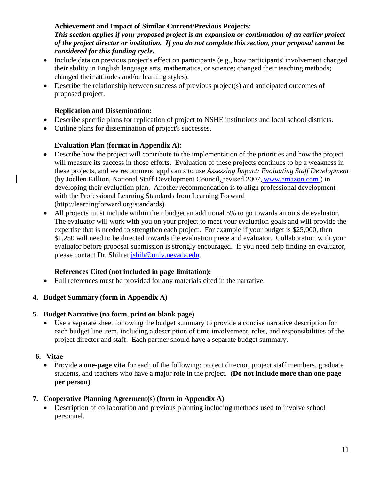#### **Achievement and Impact of Similar Current/Previous Projects:**

*This section applies if your proposed project is an expansion or continuation of an earlier project of the project director or institution. If you do not complete this section, your proposal cannot be considered for this funding cycle.*

- Include data on previous project's effect on participants (e.g., how participants' involvement changed their ability in English language arts, mathematics, or science; changed their teaching methods; changed their attitudes and/or learning styles).
- Describe the relationship between success of previous project(s) and anticipated outcomes of proposed project.

#### **Replication and Dissemination:**

- Describe specific plans for replication of project to NSHE institutions and local school districts.
- Outline plans for dissemination of project's successes.

# **Evaluation Plan (format in Appendix A):**

- Describe how the project will contribute to the implementation of the priorities and how the project will measure its success in those efforts. Evaluation of these projects continues to be a weakness in these projects, and we recommend applicants to use *Assessing Impact: Evaluating Staff Development*  (by Joellen Killion, National Staff Development Council, revised 2007, [www.amazon.com](http://www.amazon.com/) ) in developing their evaluation plan. Another recommendation is to align professional development with the Professional Learning Standards from Learning Forward (http://learningforward.org/standards)
- All projects must include within their budget an additional 5% to go towards an outside evaluator. The evaluator will work with you on your project to meet your evaluation goals and will provide the expertise that is needed to strengthen each project. For example if your budget is \$25,000, then \$1,250 will need to be directed towards the evaluation piece and evaluator. Collaboration with your evaluator before proposal submission is strongly encouraged. If you need help finding an evaluator, please contact Dr. Shih at  $\frac{\sinh(\omega)}{\cosh(\omega)}$ .

# **References Cited (not included in page limitation):**

• Full references must be provided for any materials cited in the narrative.

# **4. Budget Summary (form in Appendix A)**

#### **5. Budget Narrative (no form, print on blank page)**

• Use a separate sheet following the budget summary to provide a concise narrative description for each budget line item, including a description of time involvement, roles, and responsibilities of the project director and staff. Each partner should have a separate budget summary.

# **6. Vitae**

• Provide a **one-page vita** for each of the following: project director, project staff members, graduate students, and teachers who have a major role in the project. **(Do not include more than one page per person)**

# **7. Cooperative Planning Agreement(s) (form in Appendix A)**

• Description of collaboration and previous planning including methods used to involve school personnel.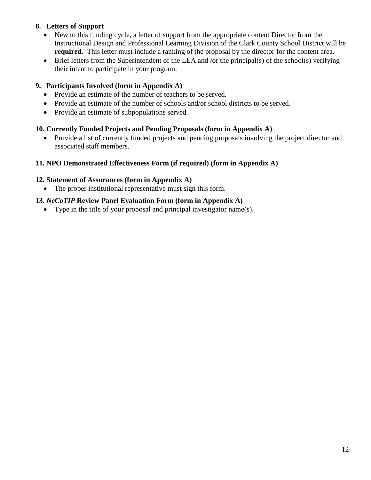# **8. Letters of Support**

- New to this funding cycle, a letter of support from the appropriate content Director from the Instructional Design and Professional Learning Division of the Clark County School District will be **required**. This letter must include a ranking of the proposal by the director for the content area.
- Brief letters from the Superintendent of the LEA and /or the principal(s) of the school(s) verifying their intent to participate in your program.

# **9. Participants Involved (form in Appendix A)**

- Provide an estimate of the number of teachers to be served.
- Provide an estimate of the number of schools and/or school districts to be served.
- Provide an estimate of subpopulations served.

# **10. Currently Funded Projects and Pending Proposals (form in Appendix A)**

• Provide a list of currently funded projects and pending proposals involving the project director and associated staff members.

# **11. NPO Demonstrated Effectiveness Form (if required) (form in Appendix A)**

# **12. Statement of Assurances (form in Appendix A)**

• The proper institutional representative must sign this form.

# **13.** *NeCoTIP* **Review Panel Evaluation Form (form in Appendix A)**

• Type in the title of your proposal and principal investigator name(s).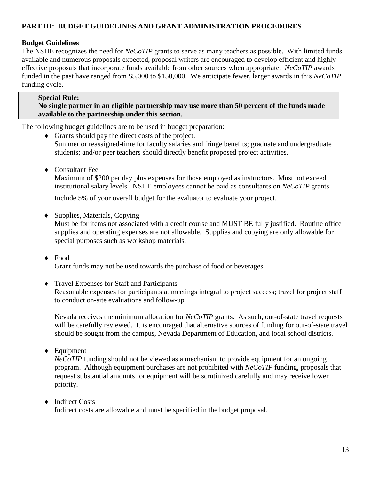# **PART III: BUDGET GUIDELINES AND GRANT ADMINISTRATION PROCEDURES**

#### **Budget Guidelines**

The NSHE recognizes the need for *NeCoTIP* grants to serve as many teachers as possible. With limited funds available and numerous proposals expected, proposal writers are encouraged to develop efficient and highly effective proposals that incorporate funds available from other sources when appropriate. *NeCoTIP* awards funded in the past have ranged from \$5,000 to \$150,000. We anticipate fewer, larger awards in this *NeCoTIP* funding cycle.

#### **Special Rule:**

**No single partner in an eligible partnership may use more than 50 percent of the funds made available to the partnership under this section.**

The following budget guidelines are to be used in budget preparation:

- ♦ Grants should pay the direct costs of the project. Summer or reassigned-time for faculty salaries and fringe benefits; graduate and undergraduate students; and/or peer teachers should directly benefit proposed project activities.
- ♦ Consultant Fee

Maximum of \$200 per day plus expenses for those employed as instructors. Must not exceed institutional salary levels. NSHE employees cannot be paid as consultants on *NeCoTIP* grants.

Include 5% of your overall budget for the evaluator to evaluate your project.

♦ Supplies, Materials, Copying

Must be for items not associated with a credit course and MUST BE fully justified. Routine office supplies and operating expenses are not allowable. Supplies and copying are only allowable for special purposes such as workshop materials.

♦ Food

Grant funds may not be used towards the purchase of food or beverages.

♦ Travel Expenses for Staff and Participants

Reasonable expenses for participants at meetings integral to project success; travel for project staff to conduct on-site evaluations and follow-up.

Nevada receives the minimum allocation for *NeCoTIP* grants. As such, out-of-state travel requests will be carefully reviewed. It is encouraged that alternative sources of funding for out-of-state travel should be sought from the campus, Nevada Department of Education, and local school districts.

♦ Equipment

*NeCoTIP* funding should not be viewed as a mechanism to provide equipment for an ongoing program. Although equipment purchases are not prohibited with *NeCoTIP* funding, proposals that request substantial amounts for equipment will be scrutinized carefully and may receive lower priority.

#### ♦ Indirect Costs

Indirect costs are allowable and must be specified in the budget proposal.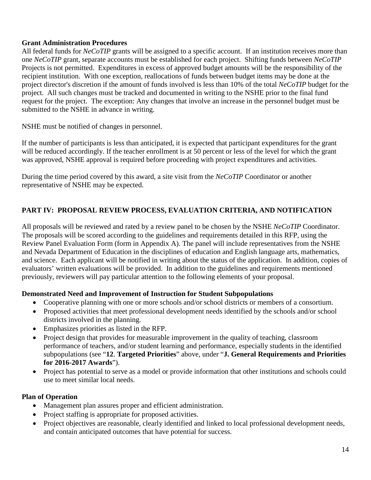#### **Grant Administration Procedures**

All federal funds for *NeCoTIP* grants will be assigned to a specific account. If an institution receives more than one *NeCoTIP* grant, separate accounts must be established for each project. Shifting funds between *NeCoTIP* Projects is not permitted. Expenditures in excess of approved budget amounts will be the responsibility of the recipient institution. With one exception, reallocations of funds between budget items may be done at the project director's discretion if the amount of funds involved is less than 10% of the total *NeCoTIP* budget for the project. All such changes must be tracked and documented in writing to the NSHE prior to the final fund request for the project. The exception: Any changes that involve an increase in the personnel budget must be submitted to the NSHE in advance in writing.

NSHE must be notified of changes in personnel.

If the number of participants is less than anticipated, it is expected that participant expenditures for the grant will be reduced accordingly. If the teacher enrollment is at 50 percent or less of the level for which the grant was approved, NSHE approval is required before proceeding with project expenditures and activities.

During the time period covered by this award, a site visit from the *NeCoTIP* Coordinator or another representative of NSHE may be expected.

# **PART IV: PROPOSAL REVIEW PROCESS, EVALUATION CRITERIA, AND NOTIFICATION**

All proposals will be reviewed and rated by a review panel to be chosen by the NSHE *NeCoTIP* Coordinator. The proposals will be scored according to the guidelines and requirements detailed in this RFP, using the Review Panel Evaluation Form (form in Appendix A). The panel will include representatives from the NSHE and Nevada Department of Education in the disciplines of education and English language arts, mathematics, and science. Each applicant will be notified in writing about the status of the application. In addition, copies of evaluators' written evaluations will be provided. In addition to the guidelines and requirements mentioned previously, reviewers will pay particular attention to the following elements of your proposal.

#### **Demonstrated Need and Improvement of Instruction for Student Subpopulations**

- Cooperative planning with one or more schools and/or school districts or members of a consortium.
- Proposed activities that meet professional development needs identified by the schools and/or school districts involved in the planning.
- Emphasizes priorities as listed in the RFP.
- Project design that provides for measurable improvement in the quality of teaching, classroom performance of teachers, and/or student learning and performance, especially students in the identified subpopulations (see "**12**. **Targeted Priorities**" above, under "**J. General Requirements and Priorities for 2016-2017 Awards**").
- Project has potential to serve as a model or provide information that other institutions and schools could use to meet similar local needs.

# **Plan of Operation**

- Management plan assures proper and efficient administration.
- Project staffing is appropriate for proposed activities.
- Project objectives are reasonable, clearly identified and linked to local professional development needs, and contain anticipated outcomes that have potential for success.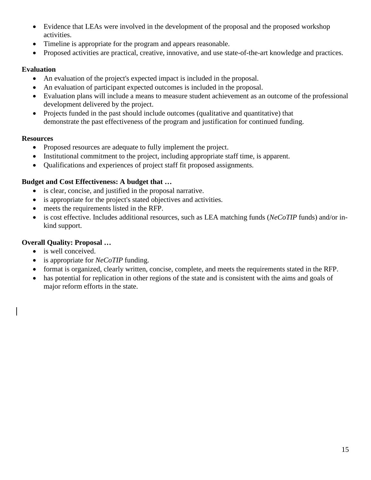- Evidence that LEAs were involved in the development of the proposal and the proposed workshop activities.
- Timeline is appropriate for the program and appears reasonable.
- Proposed activities are practical, creative, innovative, and use state-of-the-art knowledge and practices.

#### **Evaluation**

- An evaluation of the project's expected impact is included in the proposal.
- An evaluation of participant expected outcomes is included in the proposal.
- Evaluation plans will include a means to measure student achievement as an outcome of the professional development delivered by the project.
- Projects funded in the past should include outcomes (qualitative and quantitative) that demonstrate the past effectiveness of the program and justification for continued funding.

#### **Resources**

- Proposed resources are adequate to fully implement the project.
- Institutional commitment to the project, including appropriate staff time, is apparent.
- Qualifications and experiences of project staff fit proposed assignments.

#### **Budget and Cost Effectiveness: A budget that …**

- is clear, concise, and justified in the proposal narrative.
- is appropriate for the project's stated objectives and activities.
- meets the requirements listed in the RFP.
- is cost effective. Includes additional resources, such as LEA matching funds (*NeCoTIP* funds) and/or inkind support.

# **Overall Quality: Proposal …**

- is well conceived.
- is appropriate for *NeCoTIP* funding.
- format is organized, clearly written, concise, complete, and meets the requirements stated in the RFP.
- has potential for replication in other regions of the state and is consistent with the aims and goals of major reform efforts in the state.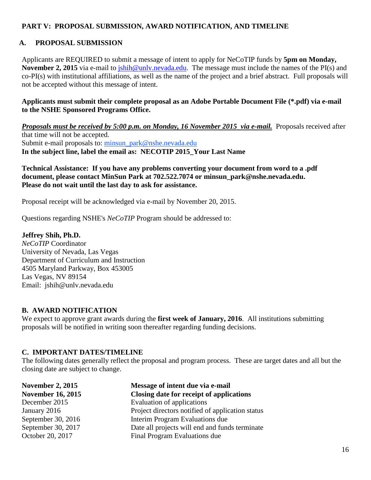# **PART V: PROPOSAL SUBMISSION, AWARD NOTIFICATION, AND TIMELINE**

#### **A. PROPOSAL SUBMISSION**

Applicants are REQUIRED to submit a message of intent to apply for NeCoTIP funds by **5pm on Monday, November 2, 2015** via e-mail to *jshih@unlv.nevada.edu.* The message must include the names of the PI(s) and co-PI(s) with institutional affiliations, as well as the name of the project and a brief abstract. Full proposals will not be accepted without this message of intent.

#### **Applicants must submit their complete proposal as an Adobe Portable Document File (\*.pdf) via e-mail to the NSHE Sponsored Programs Office.**

#### *Proposals must be received by 5:00 p.m. on Monday, 16 November 2015 via e-mail.* Proposals received after that time will not be accepted. Submit e-mail proposals to: [minsun\\_park@nshe.nevada.edu](mailto:minsun_park@nshe.nevada.edu)

**In the subject line, label the email as: NECOTIP 2015\_Your Last Name**

#### **Technical Assistance: If you have any problems converting your document from word to a .pdf document, please contact MinSun Park at 702.522.7074 or minsun\_park@nshe.nevada.edu. Please do not wait until the last day to ask for assistance.**

Proposal receipt will be acknowledged via e-mail by November 20, 2015.

Questions regarding NSHE's *NeCoTIP* Program should be addressed to:

#### **Jeffrey Shih, Ph.D.**

*NeCoTIP* Coordinator University of Nevada, Las Vegas Department of Curriculum and Instruction 4505 Maryland Parkway, Box 453005 Las Vegas, NV 89154 Email: jshih@unlv.nevada.edu

#### **B. AWARD NOTIFICATION**

We expect to approve grant awards during the **first week of January, 2016**. All institutions submitting proposals will be notified in writing soon thereafter regarding funding decisions.

#### **C. IMPORTANT DATES/TIMELINE**

The following dates generally reflect the proposal and program process. These are target dates and all but the closing date are subject to change.

| Message of intent due via e-mail                 |
|--------------------------------------------------|
| Closing date for receipt of applications         |
| Evaluation of applications                       |
| Project directors notified of application status |
| Interim Program Evaluations due                  |
| Date all projects will end and funds terminate   |
| Final Program Evaluations due                    |
|                                                  |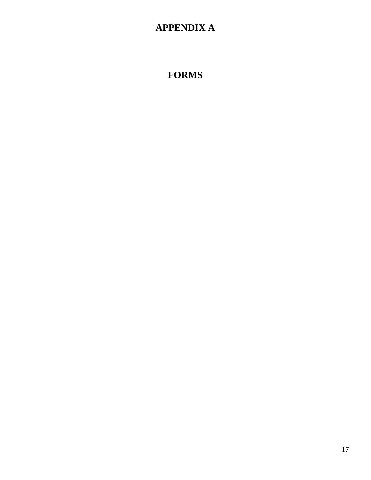# **APPENDIX A**

# **FORMS**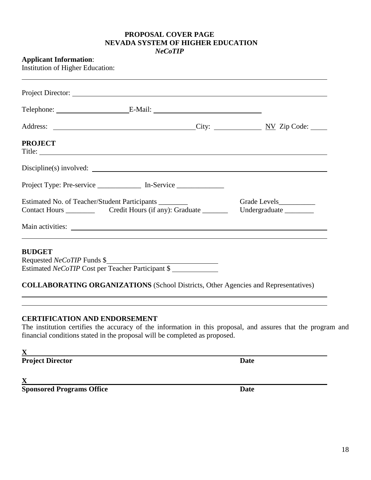#### **PROPOSAL COVER PAGE NEVADA SYSTEM OF HIGHER EDUCATION** *NeCoTIP*

#### **Applicant Information**:

Institution of Higher Education:

|                | Project Director:                                                                |  |
|----------------|----------------------------------------------------------------------------------|--|
|                |                                                                                  |  |
|                |                                                                                  |  |
| <b>PROJECT</b> |                                                                                  |  |
|                | Discipline(s) involved:                                                          |  |
|                | Project Type: Pre-service ______________ In-Service _______________              |  |
|                | Estimated No. of Teacher/Student Participants ________                           |  |
|                |                                                                                  |  |
|                | ,我们也不会有什么?""我们的人,我们也不会有什么?""我们的人,我们也不会有什么?""我们的人,我们也不会有什么?""我们的人,我们也不会有什么?""我们的人 |  |
| <b>BUDGET</b>  |                                                                                  |  |
|                | Requested <i>NeCoTIP</i> Funds \$                                                |  |
|                | Estimated NeCoTIP Cost per Teacher Participant \$                                |  |

#### **CERTIFICATION AND ENDORSEMENT**

The institution certifies the accuracy of the information in this proposal, and assures that the program and financial conditions stated in the proposal will be completed as proposed.

**X**

**Project Director Date** 

**X**

**Sponsored Programs Office Date**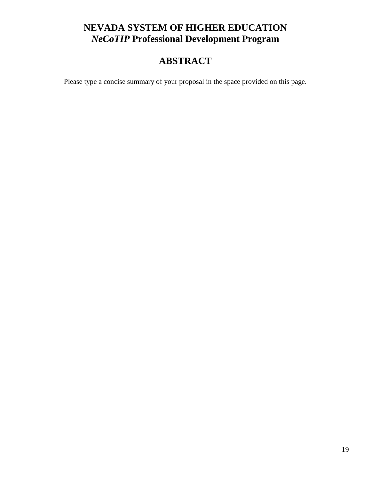# **NEVADA SYSTEM OF HIGHER EDUCATION** *NeCoTIP* **Professional Development Program**

# **ABSTRACT**

Please type a concise summary of your proposal in the space provided on this page.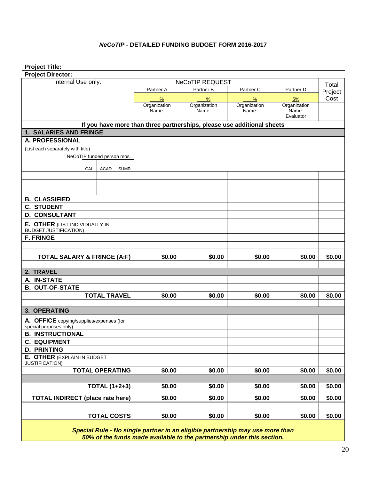#### *NeCoTIP* **- DETAILED FUNDING BUDGET FORM 2016-2017**

**Project Title:**

| <b>Project Director:</b>                 |     |                            |             |                       |                                                                               |                       |                       |        |
|------------------------------------------|-----|----------------------------|-------------|-----------------------|-------------------------------------------------------------------------------|-----------------------|-----------------------|--------|
| Internal Use only:                       |     |                            |             |                       | NeCoTIP REQUEST                                                               |                       |                       | Total  |
|                                          |     |                            | Partner A   | Partner B             | Partner C                                                                     | Partner D             | Project               |        |
|                                          |     |                            | $\%$        | $\frac{9}{6}$         | %                                                                             | 5%                    | Cost                  |        |
|                                          |     |                            |             | Organization<br>Name: | Organization<br>Name:                                                         | Organization<br>Name: | Organization<br>Name: |        |
|                                          |     |                            |             |                       |                                                                               |                       | Evaluator             |        |
|                                          |     |                            |             |                       | If you have more than three partnerships, please use additional sheets        |                       |                       |        |
| 1. SALARIES AND FRINGE                   |     |                            |             |                       |                                                                               |                       |                       |        |
| A. PROFESSIONAL                          |     |                            |             |                       |                                                                               |                       |                       |        |
| (List each separately with title)        |     |                            |             |                       |                                                                               |                       |                       |        |
|                                          |     | NeCoTIP funded person mos. |             |                       |                                                                               |                       |                       |        |
|                                          |     |                            |             |                       |                                                                               |                       |                       |        |
|                                          | CAL | <b>ACAD</b>                | <b>SUMR</b> |                       |                                                                               |                       |                       |        |
|                                          |     |                            |             |                       |                                                                               |                       |                       |        |
|                                          |     |                            |             |                       |                                                                               |                       |                       |        |
| <b>B. CLASSIFIED</b>                     |     |                            |             |                       |                                                                               |                       |                       |        |
| <b>C. STUDENT</b>                        |     |                            |             |                       |                                                                               |                       |                       |        |
| <b>D. CONSULTANT</b>                     |     |                            |             |                       |                                                                               |                       |                       |        |
| E. OTHER (LIST INDIVIDUALLY IN           |     |                            |             |                       |                                                                               |                       |                       |        |
| <b>BUDGET JUSTIFICATION)</b>             |     |                            |             |                       |                                                                               |                       |                       |        |
| <b>F. FRINGE</b>                         |     |                            |             |                       |                                                                               |                       |                       |        |
|                                          |     |                            |             |                       |                                                                               |                       |                       |        |
| <b>TOTAL SALARY &amp; FRINGE (A:F)</b>   |     |                            |             | \$0.00                | \$0.00                                                                        | \$0.00                | \$0.00                | \$0.00 |
|                                          |     |                            |             |                       |                                                                               |                       |                       |        |
| 2. TRAVEL                                |     |                            |             |                       |                                                                               |                       |                       |        |
| A. IN-STATE<br><b>B. OUT-OF-STATE</b>    |     |                            |             |                       |                                                                               |                       |                       |        |
| <b>TOTAL TRAVEL</b>                      |     |                            |             | \$0.00                | \$0.00                                                                        | \$0.00                | \$0.00                | \$0.00 |
|                                          |     |                            |             |                       |                                                                               |                       |                       |        |
| 3. OPERATING                             |     |                            |             |                       |                                                                               |                       |                       |        |
| A. OFFICE copying/supplies/expenses (for |     |                            |             |                       |                                                                               |                       |                       |        |
| special purposes only)                   |     |                            |             |                       |                                                                               |                       |                       |        |
| <b>B. INSTRUCTIONAL</b>                  |     |                            |             |                       |                                                                               |                       |                       |        |
| <b>C. EQUIPMENT</b>                      |     |                            |             |                       |                                                                               |                       |                       |        |
| <b>D. PRINTING</b>                       |     |                            |             |                       |                                                                               |                       |                       |        |
| E. OTHER (EXPLAIN IN BUDGET              |     |                            |             |                       |                                                                               |                       |                       |        |
| JUSTIFICATION)<br><b>TOTAL OPERATING</b> |     |                            | \$0.00      | \$0.00                | \$0.00                                                                        | \$0.00                | \$0.00                |        |
|                                          |     |                            |             |                       |                                                                               |                       |                       |        |
|                                          |     | <b>TOTAL (1+2+3)</b>       |             | \$0.00                | \$0.00                                                                        | \$0.00                | \$0.00                | \$0.00 |
| <b>TOTAL INDIRECT (place rate here)</b>  |     |                            |             | \$0.00                | \$0.00                                                                        | \$0.00                | \$0.00                | \$0.00 |
|                                          |     |                            |             |                       |                                                                               |                       |                       |        |
|                                          |     | <b>TOTAL COSTS</b>         |             | \$0.00                | \$0.00                                                                        | \$0.00                | \$0.00                | \$0.00 |
|                                          |     |                            |             |                       | Special Rule - No single partner in an eligible partnership may use more than |                       |                       |        |

*Special Rule - No single partner in an eligible partnership may use more than 50% of the funds made available to the partnership under this section.*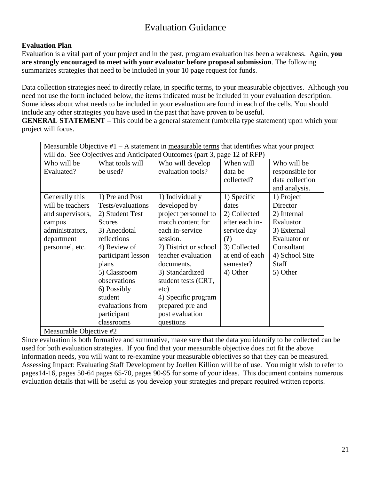# Evaluation Guidance

# **Evaluation Plan**

Evaluation is a vital part of your project and in the past, program evaluation has been a weakness. Again, **you are strongly encouraged to meet with your evaluator before proposal submission**. The following summarizes strategies that need to be included in your 10 page request for funds.

Data collection strategies need to directly relate, in specific terms, to your measurable objectives. Although you need not use the form included below, the items indicated must be included in your evaluation description. Some ideas about what needs to be included in your evaluation are found in each of the cells. You should include any other strategies you have used in the past that have proven to be useful.

**GENERAL STATEMENT** – This could be a general statement (umbrella type statement) upon which your project will focus.

| Measurable Objective $#1 - A$ statement in measurable terms that identifies what your project |                    |                       |                |                 |  |  |
|-----------------------------------------------------------------------------------------------|--------------------|-----------------------|----------------|-----------------|--|--|
| will do. See Objectives and Anticipated Outcomes (part 3, page 12 of RFP)                     |                    |                       |                |                 |  |  |
| Who will be                                                                                   | What tools will    | Who will develop      | When will      | Who will be     |  |  |
| Evaluated?                                                                                    | be used?           | evaluation tools?     | data be        | responsible for |  |  |
|                                                                                               |                    |                       | collected?     | data collection |  |  |
|                                                                                               |                    |                       |                | and analysis.   |  |  |
| Generally this                                                                                | 1) Pre and Post    | 1) Individually       | 1) Specific    | 1) Project      |  |  |
| will be teachers                                                                              | Tests/evaluations  | developed by          | dates          | Director        |  |  |
| and supervisors,                                                                              | 2) Student Test    | project personnel to  | 2) Collected   | 2) Internal     |  |  |
| campus                                                                                        | <b>Scores</b>      | match content for     | after each in- | Evaluator       |  |  |
| administrators,                                                                               | 3) Anecdotal       | each in-service       | service day    | 3) External     |  |  |
| department                                                                                    | reflections        | session.              | (?)            | Evaluator or    |  |  |
| personnel, etc.                                                                               | 4) Review of       | 2) District or school | 3) Collected   | Consultant      |  |  |
|                                                                                               | participant lesson | teacher evaluation    | at end of each | 4) School Site  |  |  |
|                                                                                               | plans              | documents.            | semester?      | <b>Staff</b>    |  |  |
|                                                                                               | 5) Classroom       | 3) Standardized       | 4) Other       | 5) Other        |  |  |
|                                                                                               | observations       | student tests (CRT,   |                |                 |  |  |
|                                                                                               | 6) Possibly        | etc)                  |                |                 |  |  |
|                                                                                               | student            | 4) Specific program   |                |                 |  |  |
|                                                                                               | evaluations from   | prepared pre and      |                |                 |  |  |
|                                                                                               | participant        | post evaluation       |                |                 |  |  |
|                                                                                               | classrooms         | questions             |                |                 |  |  |
| Measurable Objective #2                                                                       |                    |                       |                |                 |  |  |

Since evaluation is both formative and summative, make sure that the data you identify to be collected can be used for both evaluation strategies. If you find that your measurable objective does not fit the above information needs, you will want to re-examine your measurable objectives so that they can be measured. Assessing Impact: Evaluating Staff Development by Joellen Killion will be of use. You might wish to refer to pages14-16, pages 50-64 pages 65-70, pages 90-95 for some of your ideas. This document contains numerous evaluation details that will be useful as you develop your strategies and prepare required written reports.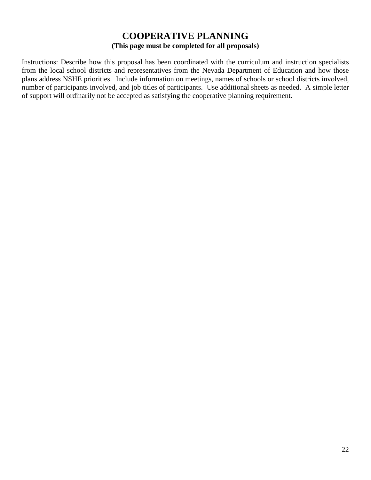# **COOPERATIVE PLANNING (This page must be completed for all proposals)**

Instructions: Describe how this proposal has been coordinated with the curriculum and instruction specialists from the local school districts and representatives from the Nevada Department of Education and how those plans address NSHE priorities. Include information on meetings, names of schools or school districts involved, number of participants involved, and job titles of participants. Use additional sheets as needed. A simple letter of support will ordinarily not be accepted as satisfying the cooperative planning requirement.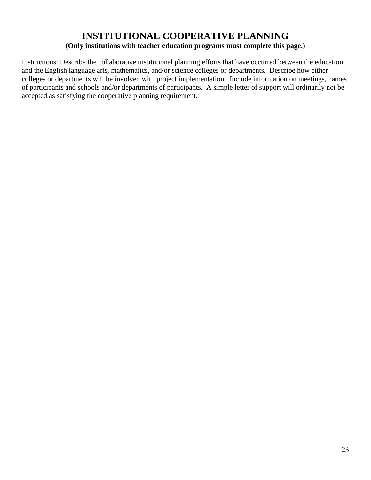# **INSTITUTIONAL COOPERATIVE PLANNING (Only institutions with teacher education programs must complete this page.)**

Instructions: Describe the collaborative institutional planning efforts that have occurred between the education and the English language arts, mathematics, and/or science colleges or departments. Describe how either colleges or departments will be involved with project implementation. Include information on meetings, names of participants and schools and/or departments of participants. A simple letter of support will ordinarily not be accepted as satisfying the cooperative planning requirement.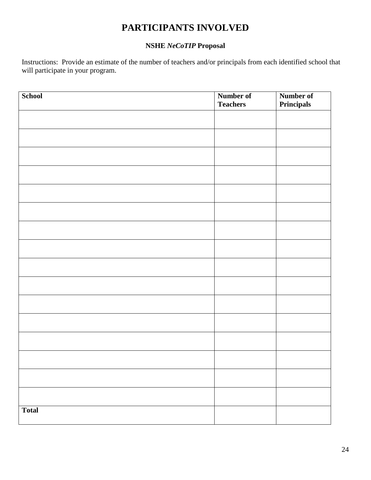# **PARTICIPANTS INVOLVED**

# **NSHE** *NeCoTIP* **Proposal**

Instructions: Provide an estimate of the number of teachers and/or principals from each identified school that will participate in your program.

| School       | Number of       |                                       |
|--------------|-----------------|---------------------------------------|
|              | <b>Teachers</b> | <b>Number of</b><br><b>Principals</b> |
|              |                 |                                       |
|              |                 |                                       |
|              |                 |                                       |
|              |                 |                                       |
|              |                 |                                       |
|              |                 |                                       |
|              |                 |                                       |
|              |                 |                                       |
|              |                 |                                       |
|              |                 |                                       |
|              |                 |                                       |
|              |                 |                                       |
|              |                 |                                       |
|              |                 |                                       |
|              |                 |                                       |
|              |                 |                                       |
|              |                 |                                       |
|              |                 |                                       |
|              |                 |                                       |
|              |                 |                                       |
|              |                 |                                       |
|              |                 |                                       |
|              |                 |                                       |
|              |                 |                                       |
|              |                 |                                       |
|              |                 |                                       |
|              |                 |                                       |
| <b>Total</b> |                 |                                       |
|              |                 |                                       |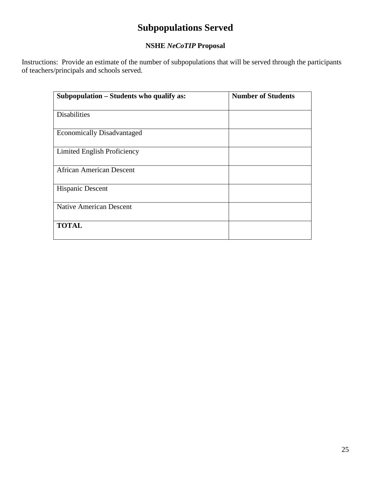# **Subpopulations Served**

# **NSHE** *NeCoTIP* **Proposal**

Instructions: Provide an estimate of the number of subpopulations that will be served through the participants of teachers/principals and schools served.

| Subpopulation – Students who qualify as: | <b>Number of Students</b> |
|------------------------------------------|---------------------------|
| <b>Disabilities</b>                      |                           |
| <b>Economically Disadvantaged</b>        |                           |
| Limited English Proficiency              |                           |
| <b>African American Descent</b>          |                           |
| <b>Hispanic Descent</b>                  |                           |
| <b>Native American Descent</b>           |                           |
| <b>TOTAL</b>                             |                           |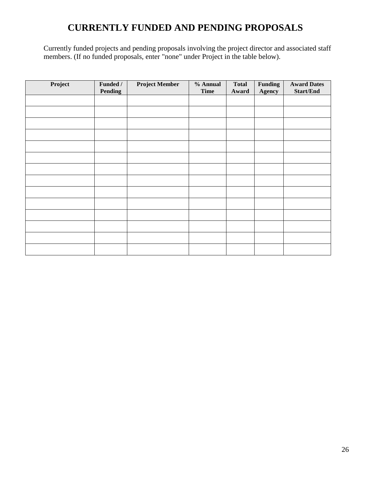# **CURRENTLY FUNDED AND PENDING PROPOSALS**

Currently funded projects and pending proposals involving the project director and associated staff members. (If no funded proposals, enter "none" under Project in the table below).

| Project | Funded /<br>Pending | <b>Project Member</b> | % Annual<br><b>Time</b> | <b>Total</b><br>Award | <b>Funding</b><br>Agency | <b>Award Dates</b><br><b>Start/End</b> |
|---------|---------------------|-----------------------|-------------------------|-----------------------|--------------------------|----------------------------------------|
|         |                     |                       |                         |                       |                          |                                        |
|         |                     |                       |                         |                       |                          |                                        |
|         |                     |                       |                         |                       |                          |                                        |
|         |                     |                       |                         |                       |                          |                                        |
|         |                     |                       |                         |                       |                          |                                        |
|         |                     |                       |                         |                       |                          |                                        |
|         |                     |                       |                         |                       |                          |                                        |
|         |                     |                       |                         |                       |                          |                                        |
|         |                     |                       |                         |                       |                          |                                        |
|         |                     |                       |                         |                       |                          |                                        |
|         |                     |                       |                         |                       |                          |                                        |
|         |                     |                       |                         |                       |                          |                                        |
|         |                     |                       |                         |                       |                          |                                        |
|         |                     |                       |                         |                       |                          |                                        |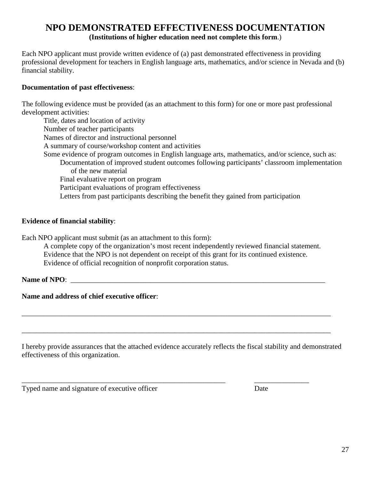# **NPO DEMONSTRATED EFFECTIVENESS DOCUMENTATION (Institutions of higher education need not complete this form**.)

Each NPO applicant must provide written evidence of (a) past demonstrated effectiveness in providing professional development for teachers in English language arts, mathematics, and/or science in Nevada and (b) financial stability.

#### **Documentation of past effectiveness**:

The following evidence must be provided (as an attachment to this form) for one or more past professional development activities:

Title, dates and location of activity Number of teacher participants Names of director and instructional personnel A summary of course/workshop content and activities Some evidence of program outcomes in English language arts, mathematics, and/or science, such as: Documentation of improved student outcomes following participants' classroom implementation of the new material Final evaluative report on program Participant evaluations of program effectiveness Letters from past participants describing the benefit they gained from participation

#### **Evidence of financial stability**:

Each NPO applicant must submit (as an attachment to this form):

A complete copy of the organization's most recent independently reviewed financial statement. Evidence that the NPO is not dependent on receipt of this grant for its continued existence. Evidence of official recognition of nonprofit corporation status.

#### Name of NPO:

**Name and address of chief executive officer**:

I hereby provide assurances that the attached evidence accurately reflects the fiscal stability and demonstrated effectiveness of this organization.

\_\_\_\_\_\_\_\_\_\_\_\_\_\_\_\_\_\_\_\_\_\_\_\_\_\_\_\_\_\_\_\_\_\_\_\_\_\_\_\_\_\_\_\_\_\_\_\_\_\_\_\_\_\_\_\_\_\_\_\_\_\_\_\_\_\_\_\_\_\_\_\_\_\_\_\_\_\_\_\_\_\_\_\_\_

\_\_\_\_\_\_\_\_\_\_\_\_\_\_\_\_\_\_\_\_\_\_\_\_\_\_\_\_\_\_\_\_\_\_\_\_\_\_\_\_\_\_\_\_\_\_\_\_\_\_\_\_\_\_\_\_\_\_\_\_\_\_\_\_\_\_\_\_\_\_\_\_\_\_\_\_\_\_\_\_\_\_\_\_\_

\_\_\_\_\_\_\_\_\_\_\_\_\_\_\_\_\_\_\_\_\_\_\_\_\_\_\_\_\_\_\_\_\_\_\_\_\_\_\_\_\_\_\_\_\_\_\_\_\_\_\_\_\_\_\_\_ \_\_\_\_\_\_\_\_\_\_\_\_\_\_\_

Typed name and signature of executive officer Date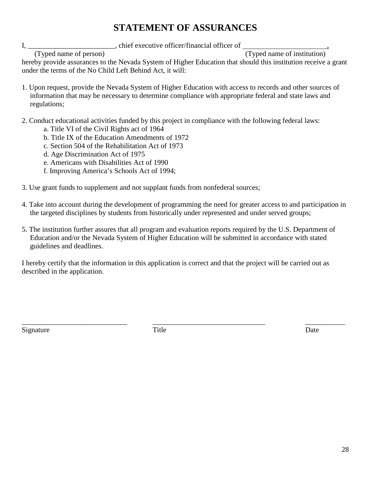# **STATEMENT OF ASSURANCES**

I, \_\_\_\_\_\_\_\_\_\_\_\_\_\_\_\_\_\_\_\_\_\_, chief executive officer/financial officer of

(Typed name of person) (Typed name of institution)

hereby provide assurances to the Nevada System of Higher Education that should this institution receive a grant under the terms of the No Child Left Behind Act, it will:

- 1. Upon request, provide the Nevada System of Higher Education with access to records and other sources of information that may be necessary to determine compliance with appropriate federal and state laws and regulations;
- 2. Conduct educational activities funded by this project in compliance with the following federal laws:
	- a. Title VI of the Civil Rights act of 1964
	- b. Title IX of the Education Amendments of 1972
	- c. Section 504 of the Rehabilitation Act of 1973
	- d. Age Discrimination Act of 1975
	- e. Americans with Disabilities Act of 1990
	- f. Improving America's Schools Act of 1994;
- 3. Use grant funds to supplement and not supplant funds from nonfederal sources;
- 4. Take into account during the development of programming the need for greater access to and participation in the targeted disciplines by students from historically under represented and under served groups;
- 5. The institution further assures that all program and evaluation reports required by the U.S. Department of Education and/or the Nevada System of Higher Education will be submitted in accordance with stated guidelines and deadlines.

I hereby certify that the information in this application is correct and that the project will be carried out as described in the application.

Signature Date Date Date

\_\_\_\_\_\_\_\_\_\_\_\_\_\_\_\_\_\_\_\_\_\_\_\_\_\_\_\_\_ \_\_\_\_\_\_\_\_\_\_\_\_\_\_\_\_\_\_\_\_\_\_\_\_\_\_\_\_\_\_\_ \_\_\_\_\_\_\_\_\_\_\_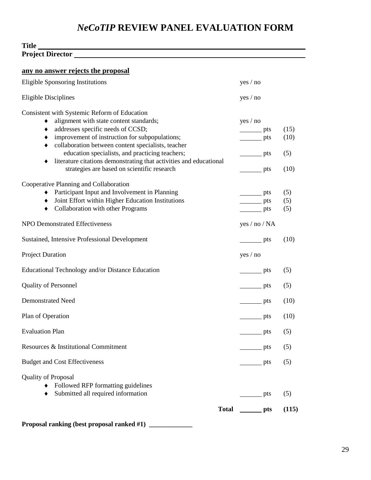# *NeCoTIP* **REVIEW PANEL EVALUATION FORM**

#### **Title Project Director**

| any no answer rejects the proposal                                                                                                                                                                                                                                                                                                                                                                                          |                                                                                                              |                             |
|-----------------------------------------------------------------------------------------------------------------------------------------------------------------------------------------------------------------------------------------------------------------------------------------------------------------------------------------------------------------------------------------------------------------------------|--------------------------------------------------------------------------------------------------------------|-----------------------------|
| <b>Eligible Sponsoring Institutions</b>                                                                                                                                                                                                                                                                                                                                                                                     | yes / no                                                                                                     |                             |
| <b>Eligible Disciplines</b>                                                                                                                                                                                                                                                                                                                                                                                                 | yes / no                                                                                                     |                             |
| Consistent with Systemic Reform of Education<br>alignment with state content standards;<br>addresses specific needs of CCSD;<br>٠<br>improvement of instruction for subpopulations;<br>٠<br>collaboration between content specialists, teacher<br>٠<br>education specialists, and practicing teachers;<br>literature citations demonstrating that activities and educational<br>strategies are based on scientific research | yes / no<br>$\rightharpoonup$ pts<br>$\rightharpoonup$ pts<br>$\rightharpoonup$ pts<br>$\rightharpoonup$ pts | (15)<br>(10)<br>(5)<br>(10) |
| Cooperative Planning and Collaboration<br>Participant Input and Involvement in Planning<br>٠<br>Joint Effort within Higher Education Institutions<br>٠<br>Collaboration with other Programs<br>٠                                                                                                                                                                                                                            | $\rule{1em}{0.15mm}$ pts<br>$\rightharpoonup$ pts<br>$\rule{1em}{0.15mm}$ pts                                | (5)<br>(5)<br>(5)           |
| <b>NPO Demonstrated Effectiveness</b>                                                                                                                                                                                                                                                                                                                                                                                       | yes / no / NA                                                                                                |                             |
| <b>Sustained, Intensive Professional Development</b>                                                                                                                                                                                                                                                                                                                                                                        | $\rightharpoonup$ pts                                                                                        | (10)                        |
| <b>Project Duration</b>                                                                                                                                                                                                                                                                                                                                                                                                     | yes / no                                                                                                     |                             |
| Educational Technology and/or Distance Education                                                                                                                                                                                                                                                                                                                                                                            | $\rule{1em}{0.15mm}$ pts                                                                                     | (5)                         |
| <b>Quality of Personnel</b>                                                                                                                                                                                                                                                                                                                                                                                                 | $\rightharpoonup$ pts                                                                                        | (5)                         |
| <b>Demonstrated Need</b>                                                                                                                                                                                                                                                                                                                                                                                                    | pts                                                                                                          | (10)                        |
| Plan of Operation                                                                                                                                                                                                                                                                                                                                                                                                           | $\rule{1em}{0.15mm}$ pts                                                                                     | (10)                        |
| <b>Evaluation Plan</b>                                                                                                                                                                                                                                                                                                                                                                                                      | pts                                                                                                          | (5)                         |
| Resources & Institutional Commitment                                                                                                                                                                                                                                                                                                                                                                                        | _ pts                                                                                                        | (5)                         |
| <b>Budget and Cost Effectiveness</b>                                                                                                                                                                                                                                                                                                                                                                                        | $\rule{1em}{0.15mm}$ pts                                                                                     | (5)                         |
| <b>Quality of Proposal</b><br>Followed RFP formatting guidelines<br>Submitted all required information<br><b>Total</b>                                                                                                                                                                                                                                                                                                      | pts<br>$\rule{1em}{0.15mm}$ pts                                                                              | (5)<br>(115)                |
|                                                                                                                                                                                                                                                                                                                                                                                                                             |                                                                                                              |                             |

**Proposal ranking (best proposal ranked #1) \_\_\_\_\_\_\_\_\_\_\_\_\_**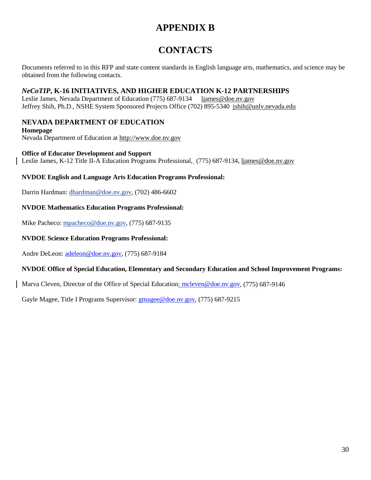# **APPENDIX B**

# **CONTACTS**

Documents referred to in this RFP and state content standards in English language arts, mathematics, and science may be obtained from the following contacts.

#### *NeCoTIP***, K-16 INITIATIVES, AND HIGHER EDUCATION K-12 PARTNERSHIPS**

Leslie James, Nevada Department of Education (775) 687-9134 [ljames@doe.nv.gov](mailto:ljames@doe.nv.gov) Jeffrey Shih, Ph.D., NSHE System Sponsored Projects Office (702) 895-5340 [jshih@unlv.nevada.edu](mailto:david_charlet@ccsn.edu)

# **NEVADA DEPARTMENT OF EDUCATION**

**Homepage**  Nevada Department of Education at [http://www.doe.nv.gov](http://www.doe.nv.gov/)

#### **Office of Educator Development and Support**

Leslie James, K-12 Title II-A Education Programs Professional, (775) 687-9134, [ljames@doe.nv.gov](mailto:ljames@doe.nv.gov)

#### **NVDOE English and Language Arts Education Programs Professional:**

Darrin Hardman: [dhardman@doe.nv.gov,](mailto:dhardman@doe.nv.gov) (702) 486-6602

#### **NVDOE Mathematics Education Programs Professional:**

Mike Pacheco: mpacheco@doe.nv.gov, (775) 687-9135

#### **NVDOE Science Education Programs Professional:**

Andre DeLeon: [adeleon@doe.nv.gov,](mailto:adeleon@doe.nv.gov) (775) 687-9184

#### **NVDOE Office of Special Education, Elementary and Secondary Education and School Improvement Programs:**

Marva Cleven, Director of the Office of Special Education: [mcleven@doe.nv.gov,](mailto:mcleven@doe.nv.gov) (775) 687-9146

Gayle Magee, Title I Programs Supervisor: **gmagee@doe.nv.gov**, (775) 687-9215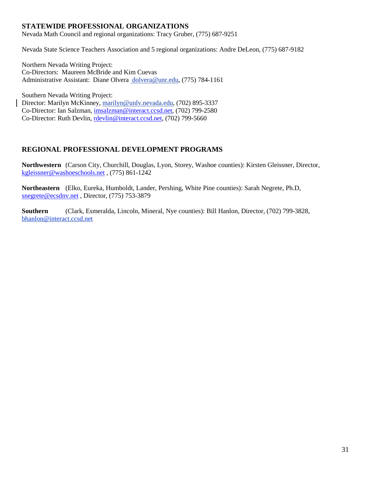#### **STATEWIDE PROFESSIONAL ORGANIZATIONS**

Nevada Math Council and regional organizations: Tracy Gruber, (775) 687-9251

Nevada State Science Teachers Association and 5 regional organizations: Andre DeLeon, (775) 687-9182

Northern Nevada Writing Project: Co-Directors: Maureen McBride and Kim Cuevas Administrative Assistant: Diane Olvera dolvera@unr.edu, (775) 784-1161

Southern Nevada Writing Project: Director: Marilyn McKinney, [marilyn@unlv.nevada.edu,](mailto:marilyn@unlv.nevada.edu) (702) 895-3337 Co-Director: Ian Salzman, [imsalzman@interact.ccsd.net,](mailto:imsalzman@interact.ccsd.net) (702) 799-2580 Co-Director: Ruth Devlin, [rdevlin@interact.ccsd.net,](mailto:rdevlin@interact.ccsd.net) (702) 799-5660

#### **REGIONAL PROFESSIONAL DEVELOPMENT PROGRAMS**

**Northwestern** (Carson City, Churchill, Douglas, Lyon, Storey, Washoe counties): Kirsten Gleissner, Director, [kgleissner@washoeschools.net](mailto:kgleissner@washoeschools.net) , (775) 861-1242

**Northeastern** (Elko, Eureka, Humboldt, Lander, Pershing, White Pine counties): Sarah Negrete, Ph.D, [snegrete@ecsdnv.net](mailto:snegrete@ecsdnv.net) , Director, (775) 753-3879

**Southern** (Clark, Esmeralda, Lincoln, Mineral, Nye counties): Bill Hanlon, Director, (702) 799-3828, [bhanlon@interact.ccsd.net](mailto:bhanlon@interact.ccsd.net)